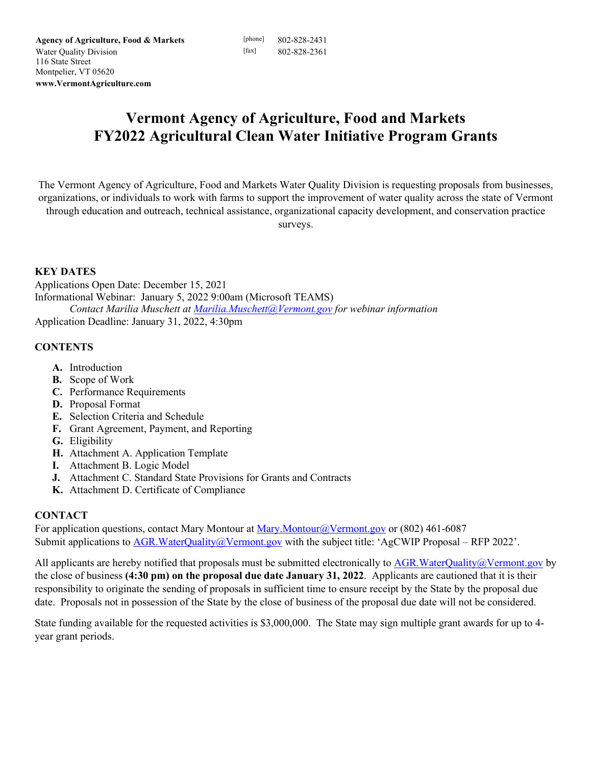# **Vermont Agency of Agriculture, Food and Markets FY2022 Agricultural Clean Water Initiative Program Grants**

The Vermont Agency of Agriculture, Food and Markets Water Quality Division is requesting proposals from businesses, organizations, or individuals to work with farms to support the improvement of water quality across the state of Vermont through education and outreach, technical assistance, organizational capacity development, and conservation practice

surveys.

#### **KEY DATES**

Applications Open Date: December 15, 2021 Informational Webinar: January 5, 2022 9:00am (Microsoft TEAMS) *Contact Marilia Muschett at [Marilia.Muschett@Vermont.gov](mailto:Marilia.Muschett@Vermont.gov) for webinar information*  Application Deadline: January 31, 2022, 4:30pm

#### **CONTENTS**

- **A.** Introduction
- **B.** Scope of Work
- **C.** Performance Requirements
- **D.** Proposal Format
- **E.** Selection Criteria and Schedule
- **F.** Grant Agreement, Payment, and Reporting
- **G.** Eligibility
- **H.** Attachment A. Application Template
- **I.** Attachment B. Logic Model
- **J.** Attachment C. Standard State Provisions for Grants and Contracts
- **K.** Attachment D. Certificate of Compliance

## **CONTACT**

For application questions, contact Mary Montour at [Mary.Montour@Vermont.gov](mailto:Mary.Montour@Vermont.gov) or (802) 461-6087 Submit applications to **AGR.WaterQuality@Vermont.gov** with the subject title: 'AgCWIP Proposal – RFP 2022'.

All applicants are hereby notified that proposals must be submitted electronically to AGR. WaterQuality@Vermont.gov by the close of business **(4:30 pm) on the proposal due date January 31, 2022**. Applicants are cautioned that it is their responsibility to originate the sending of proposals in sufficient time to ensure receipt by the State by the proposal due date. Proposals not in possession of the State by the close of business of the proposal due date will not be considered.

State funding available for the requested activities is \$3,000,000. The State may sign multiple grant awards for up to 4 year grant periods.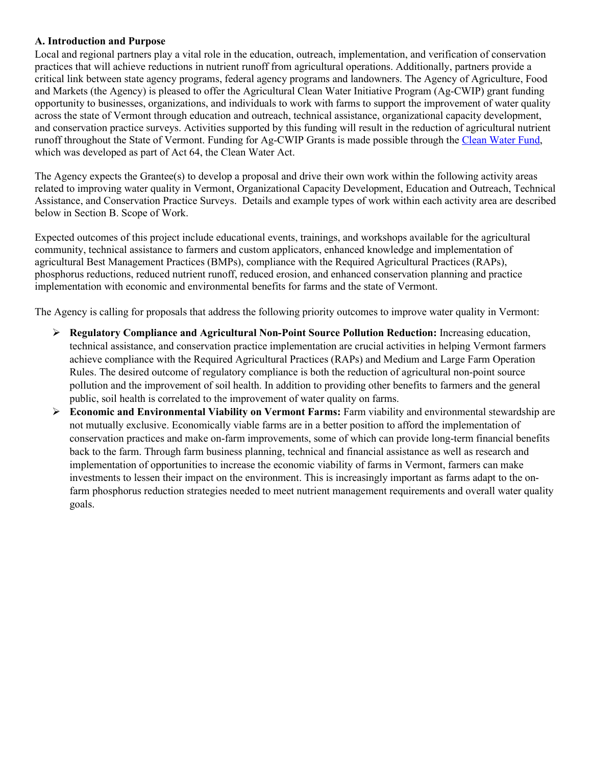#### **A. Introduction and Purpose**

Local and regional partners play a vital role in the education, outreach, implementation, and verification of conservation practices that will achieve reductions in nutrient runoff from agricultural operations. Additionally, partners provide a critical link between state agency programs, federal agency programs and landowners. The Agency of Agriculture, Food and Markets (the Agency) is pleased to offer the Agricultural Clean Water Initiative Program (Ag-CWIP) grant funding opportunity to businesses, organizations, and individuals to work with farms to support the improvement of water quality across the state of Vermont through education and outreach, technical assistance, organizational capacity development, and conservation practice surveys. Activities supported by this funding will result in the reduction of agricultural nutrient runoff throughout the State of Vermont. Funding for Ag-CWIP Grants is made possible through the [Clean Water Fund,](https://dec.vermont.gov/water-investment/cwi/board) which was developed as part of Act 64, the Clean Water Act.

The Agency expects the Grantee(s) to develop a proposal and drive their own work within the following activity areas related to improving water quality in Vermont, Organizational Capacity Development, Education and Outreach, Technical Assistance, and Conservation Practice Surveys. Details and example types of work within each activity area are described below in Section B. Scope of Work.

Expected outcomes of this project include educational events, trainings, and workshops available for the agricultural community, technical assistance to farmers and custom applicators, enhanced knowledge and implementation of agricultural Best Management Practices (BMPs), compliance with the Required Agricultural Practices (RAPs), phosphorus reductions, reduced nutrient runoff, reduced erosion, and enhanced conservation planning and practice implementation with economic and environmental benefits for farms and the state of Vermont.

The Agency is calling for proposals that address the following priority outcomes to improve water quality in Vermont:

- **Regulatory Compliance and Agricultural Non-Point Source Pollution Reduction:** Increasing education, technical assistance, and conservation practice implementation are crucial activities in helping Vermont farmers achieve compliance with the Required Agricultural Practices (RAPs) and Medium and Large Farm Operation Rules. The desired outcome of regulatory compliance is both the reduction of agricultural non-point source pollution and the improvement of soil health. In addition to providing other benefits to farmers and the general public, soil health is correlated to the improvement of water quality on farms.
- **Economic and Environmental Viability on Vermont Farms:** Farm viability and environmental stewardship are not mutually exclusive. Economically viable farms are in a better position to afford the implementation of conservation practices and make on-farm improvements, some of which can provide long-term financial benefits back to the farm. Through farm business planning, technical and financial assistance as well as research and implementation of opportunities to increase the economic viability of farms in Vermont, farmers can make investments to lessen their impact on the environment. This is increasingly important as farms adapt to the onfarm phosphorus reduction strategies needed to meet nutrient management requirements and overall water quality goals.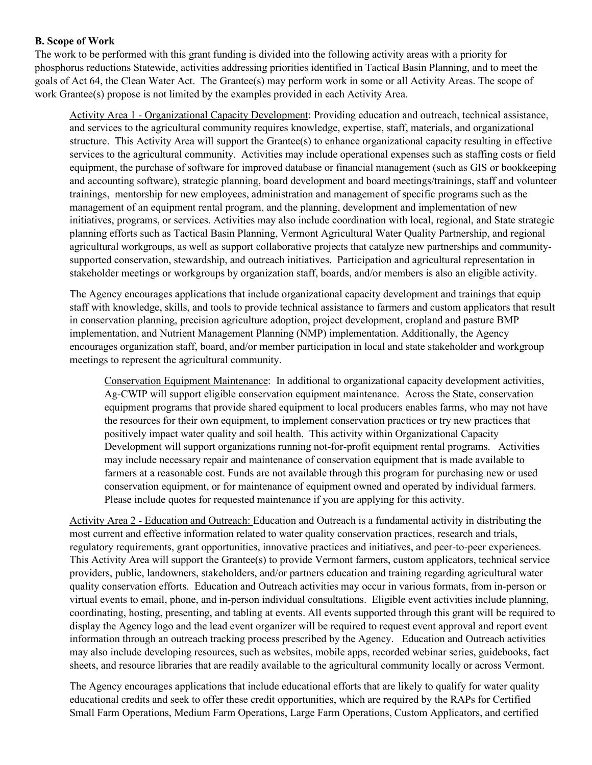#### **B. Scope of Work**

The work to be performed with this grant funding is divided into the following activity areas with a priority for phosphorus reductions Statewide, activities addressing priorities identified in Tactical Basin Planning, and to meet the goals of Act 64, the Clean Water Act. The Grantee(s) may perform work in some or all Activity Areas. The scope of work Grantee(s) propose is not limited by the examples provided in each Activity Area.

Activity Area 1 - Organizational Capacity Development: Providing education and outreach, technical assistance, and services to the agricultural community requires knowledge, expertise, staff, materials, and organizational structure. This Activity Area will support the Grantee(s) to enhance organizational capacity resulting in effective services to the agricultural community. Activities may include operational expenses such as staffing costs or field equipment, the purchase of software for improved database or financial management (such as GIS or bookkeeping and accounting software), strategic planning, board development and board meetings/trainings, staff and volunteer trainings, mentorship for new employees, administration and management of specific programs such as the management of an equipment rental program, and the planning, development and implementation of new initiatives, programs, or services. Activities may also include coordination with local, regional, and State strategic planning efforts such as Tactical Basin Planning, Vermont Agricultural Water Quality Partnership, and regional agricultural workgroups, as well as support collaborative projects that catalyze new partnerships and communitysupported conservation, stewardship, and outreach initiatives. Participation and agricultural representation in stakeholder meetings or workgroups by organization staff, boards, and/or members is also an eligible activity.

The Agency encourages applications that include organizational capacity development and trainings that equip staff with knowledge, skills, and tools to provide technical assistance to farmers and custom applicators that result in conservation planning, precision agriculture adoption, project development, cropland and pasture BMP implementation, and Nutrient Management Planning (NMP) implementation. Additionally, the Agency encourages organization staff, board, and/or member participation in local and state stakeholder and workgroup meetings to represent the agricultural community.

Conservation Equipment Maintenance: In additional to organizational capacity development activities, Ag-CWIP will support eligible conservation equipment maintenance. Across the State, conservation equipment programs that provide shared equipment to local producers enables farms, who may not have the resources for their own equipment, to implement conservation practices or try new practices that positively impact water quality and soil health. This activity within Organizational Capacity Development will support organizations running not-for-profit equipment rental programs. Activities may include necessary repair and maintenance of conservation equipment that is made available to farmers at a reasonable cost. Funds are not available through this program for purchasing new or used conservation equipment, or for maintenance of equipment owned and operated by individual farmers. Please include quotes for requested maintenance if you are applying for this activity.

Activity Area 2 - Education and Outreach: Education and Outreach is a fundamental activity in distributing the most current and effective information related to water quality conservation practices, research and trials, regulatory requirements, grant opportunities, innovative practices and initiatives, and peer-to-peer experiences. This Activity Area will support the Grantee(s) to provide Vermont farmers, custom applicators, technical service providers, public, landowners, stakeholders, and/or partners education and training regarding agricultural water quality conservation efforts. Education and Outreach activities may occur in various formats, from in-person or virtual events to email, phone, and in-person individual consultations. Eligible event activities include planning, coordinating, hosting, presenting, and tabling at events. All events supported through this grant will be required to display the Agency logo and the lead event organizer will be required to request event approval and report event information through an outreach tracking process prescribed by the Agency. Education and Outreach activities may also include developing resources, such as websites, mobile apps, recorded webinar series, guidebooks, fact sheets, and resource libraries that are readily available to the agricultural community locally or across Vermont.

The Agency encourages applications that include educational efforts that are likely to qualify for water quality educational credits and seek to offer these credit opportunities, which are required by the RAPs for Certified Small Farm Operations, Medium Farm Operations, Large Farm Operations, Custom Applicators, and certified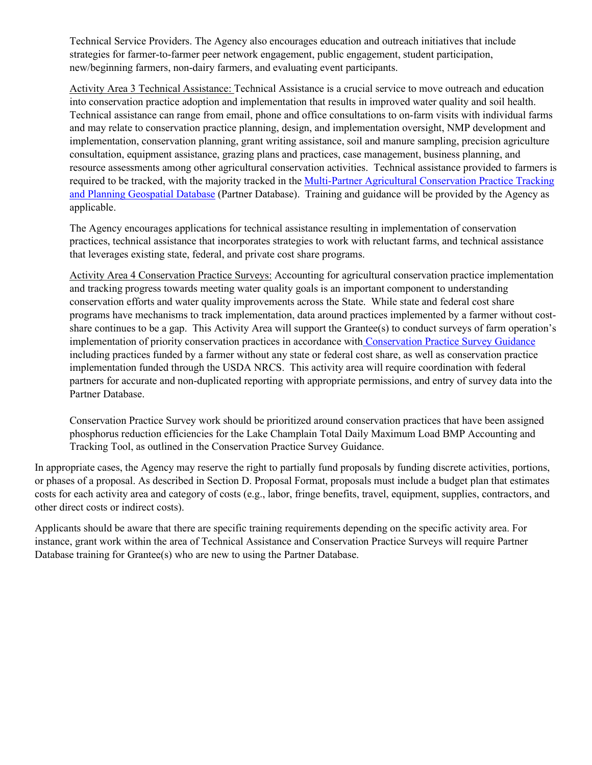Technical Service Providers. The Agency also encourages education and outreach initiatives that include strategies for farmer-to-farmer peer network engagement, public engagement, student participation, new/beginning farmers, non-dairy farmers, and evaluating event participants.

Activity Area 3 Technical Assistance: Technical Assistance is a crucial service to move outreach and education into conservation practice adoption and implementation that results in improved water quality and soil health. Technical assistance can range from email, phone and office consultations to on-farm visits with individual farms and may relate to conservation practice planning, design, and implementation oversight, NMP development and implementation, conservation planning, grant writing assistance, soil and manure sampling, precision agriculture consultation, equipment assistance, grazing plans and practices, case management, business planning, and resource assessments among other agricultural conservation activities. Technical assistance provided to farmers is required to be tracked, with the majority tracked in the [Multi-Partner Agricultural Conservation Practice Tracking](https://agriculture.vermont.gov/agricultural-clean-water-initiative-program/partner-database)  [and Planning Geospatial Database](https://agriculture.vermont.gov/agricultural-clean-water-initiative-program/partner-database) (Partner Database). Training and guidance will be provided by the Agency as applicable.

The Agency encourages applications for technical assistance resulting in implementation of conservation practices, technical assistance that incorporates strategies to work with reluctant farms, and technical assistance that leverages existing state, federal, and private cost share programs.

Activity Area 4 Conservation Practice Surveys: Accounting for agricultural conservation practice implementation and tracking progress towards meeting water quality goals is an important component to understanding conservation efforts and water quality improvements across the State. While state and federal cost share programs have mechanisms to track implementation, data around practices implemented by a farmer without costshare continues to be a gap. This Activity Area will support the Grantee(s) to conduct surveys of farm operation's implementation of priority conservation practices in accordance with [Conservation Practice Survey Guidance](https://agriculture.vermont.gov/sites/agriculture/files/documents/Water_Quality/VPD_CPSGuidance_March2021.pdf) including practices funded by a farmer without any state or federal cost share, as well as conservation practice implementation funded through the USDA NRCS. This activity area will require coordination with federal partners for accurate and non-duplicated reporting with appropriate permissions, and entry of survey data into the Partner Database.

Conservation Practice Survey work should be prioritized around conservation practices that have been assigned phosphorus reduction efficiencies for the Lake Champlain Total Daily Maximum Load BMP Accounting and Tracking Tool, as outlined in the Conservation Practice Survey Guidance.

In appropriate cases, the Agency may reserve the right to partially fund proposals by funding discrete activities, portions, or phases of a proposal. As described in Section D. Proposal Format, proposals must include a budget plan that estimates costs for each activity area and category of costs (e.g., labor, fringe benefits, travel, equipment, supplies, contractors, and other direct costs or indirect costs).

Applicants should be aware that there are specific training requirements depending on the specific activity area. For instance, grant work within the area of Technical Assistance and Conservation Practice Surveys will require Partner Database training for Grantee(s) who are new to using the Partner Database.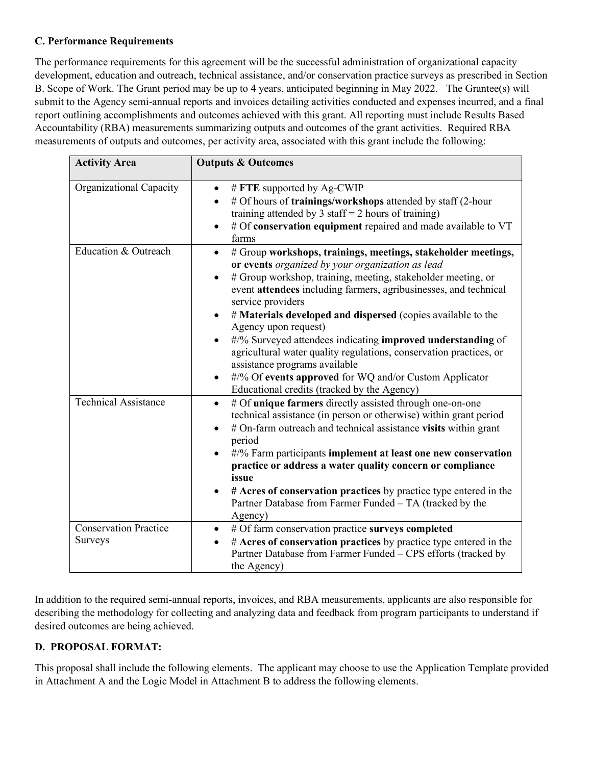#### **C. Performance Requirements**

The performance requirements for this agreement will be the successful administration of organizational capacity development, education and outreach, technical assistance, and/or conservation practice surveys as prescribed in Section B. Scope of Work. The Grant period may be up to 4 years, anticipated beginning in May 2022. The Grantee(s) will submit to the Agency semi-annual reports and invoices detailing activities conducted and expenses incurred, and a final report outlining accomplishments and outcomes achieved with this grant. All reporting must include Results Based Accountability (RBA) measurements summarizing outputs and outcomes of the grant activities. Required RBA measurements of outputs and outcomes, per activity area, associated with this grant include the following:

| <b>Activity Area</b>                           | <b>Outputs &amp; Outcomes</b>                                                                                                                                                                                                                                                                                                                                                                                                                                                                                                                                                                                                                                         |
|------------------------------------------------|-----------------------------------------------------------------------------------------------------------------------------------------------------------------------------------------------------------------------------------------------------------------------------------------------------------------------------------------------------------------------------------------------------------------------------------------------------------------------------------------------------------------------------------------------------------------------------------------------------------------------------------------------------------------------|
| Organizational Capacity                        | # FTE supported by Ag-CWIP<br>$\bullet$<br># Of hours of <b>trainings/workshops</b> attended by staff (2-hour<br>training attended by 3 staff = $2$ hours of training)<br># Of conservation equipment repaired and made available to VT<br>$\bullet$<br>farms                                                                                                                                                                                                                                                                                                                                                                                                         |
| Education & Outreach                           | # Group workshops, trainings, meetings, stakeholder meetings,<br>$\bullet$<br>or events <i>organized by your organization as lead</i><br># Group workshop, training, meeting, stakeholder meeting, or<br>event attendees including farmers, agribusinesses, and technical<br>service providers<br># Materials developed and dispersed (copies available to the<br>Agency upon request)<br>#/% Surveyed attendees indicating improved understanding of<br>agricultural water quality regulations, conservation practices, or<br>assistance programs available<br>#/% Of events approved for WQ and/or Custom Applicator<br>Educational credits (tracked by the Agency) |
| <b>Technical Assistance</b>                    | # Of unique farmers directly assisted through one-on-one<br>$\bullet$<br>technical assistance (in person or otherwise) within grant period<br># On-farm outreach and technical assistance visits within grant<br>period<br>#/% Farm participants implement at least one new conservation<br>$\bullet$<br>practice or address a water quality concern or compliance<br>issue<br># Acres of conservation practices by practice type entered in the<br>Partner Database from Farmer Funded - TA (tracked by the<br>Agency)                                                                                                                                               |
| <b>Conservation Practice</b><br><b>Surveys</b> | # Of farm conservation practice surveys completed<br>$\bullet$<br># Acres of conservation practices by practice type entered in the<br>$\bullet$<br>Partner Database from Farmer Funded - CPS efforts (tracked by<br>the Agency)                                                                                                                                                                                                                                                                                                                                                                                                                                      |

In addition to the required semi-annual reports, invoices, and RBA measurements, applicants are also responsible for describing the methodology for collecting and analyzing data and feedback from program participants to understand if desired outcomes are being achieved.

## **D. PROPOSAL FORMAT:**

This proposal shall include the following elements. The applicant may choose to use the Application Template provided in Attachment A and the Logic Model in Attachment B to address the following elements.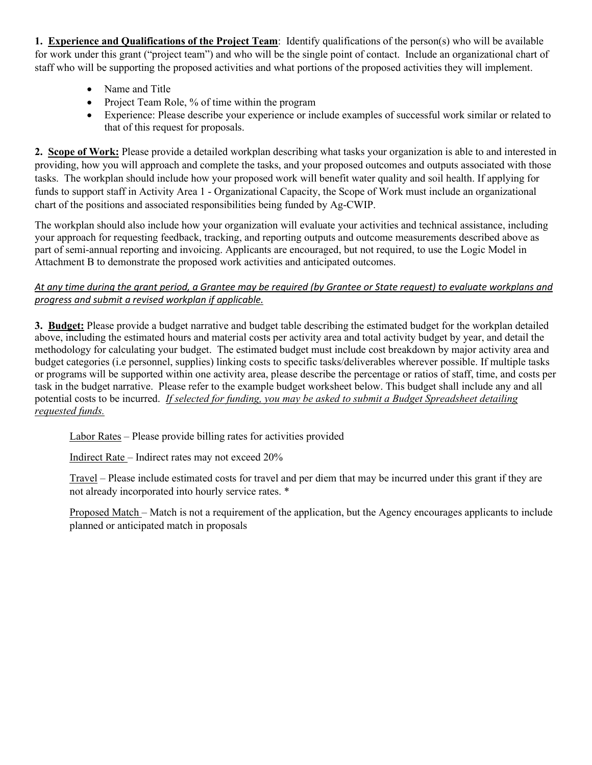**1. Experience and Qualifications of the Project Team**: Identify qualifications of the person(s) who will be available for work under this grant ("project team") and who will be the single point of contact. Include an organizational chart of staff who will be supporting the proposed activities and what portions of the proposed activities they will implement.

- Name and Title
- Project Team Role, % of time within the program
- Experience: Please describe your experience or include examples of successful work similar or related to that of this request for proposals.

**2. Scope of Work:** Please provide a detailed workplan describing what tasks your organization is able to and interested in providing, how you will approach and complete the tasks, and your proposed outcomes and outputs associated with those tasks. The workplan should include how your proposed work will benefit water quality and soil health. If applying for funds to support staff in Activity Area 1 - Organizational Capacity, the Scope of Work must include an organizational chart of the positions and associated responsibilities being funded by Ag-CWIP.

The workplan should also include how your organization will evaluate your activities and technical assistance, including your approach for requesting feedback, tracking, and reporting outputs and outcome measurements described above as part of semi-annual reporting and invoicing. Applicants are encouraged, but not required, to use the Logic Model in Attachment B to demonstrate the proposed work activities and anticipated outcomes.

## *At any time during the grant period, a Grantee may be required (by Grantee or State request) to evaluate workplans and progress and submit a revised workplan if applicable.*

**3. Budget:** Please provide a budget narrative and budget table describing the estimated budget for the workplan detailed above, including the estimated hours and material costs per activity area and total activity budget by year, and detail the methodology for calculating your budget. The estimated budget must include cost breakdown by major activity area and budget categories (i.e personnel, supplies) linking costs to specific tasks/deliverables wherever possible. If multiple tasks or programs will be supported within one activity area, please describe the percentage or ratios of staff, time, and costs per task in the budget narrative. Please refer to the example budget worksheet below. This budget shall include any and all potential costs to be incurred. *If selected for funding, you may be asked to submit a Budget Spreadsheet detailing requested funds.*

Labor Rates – Please provide billing rates for activities provided

Indirect Rate – Indirect rates may not exceed 20%

Travel – Please include estimated costs for travel and per diem that may be incurred under this grant if they are not already incorporated into hourly service rates. \*

Proposed Match – Match is not a requirement of the application, but the Agency encourages applicants to include planned or anticipated match in proposals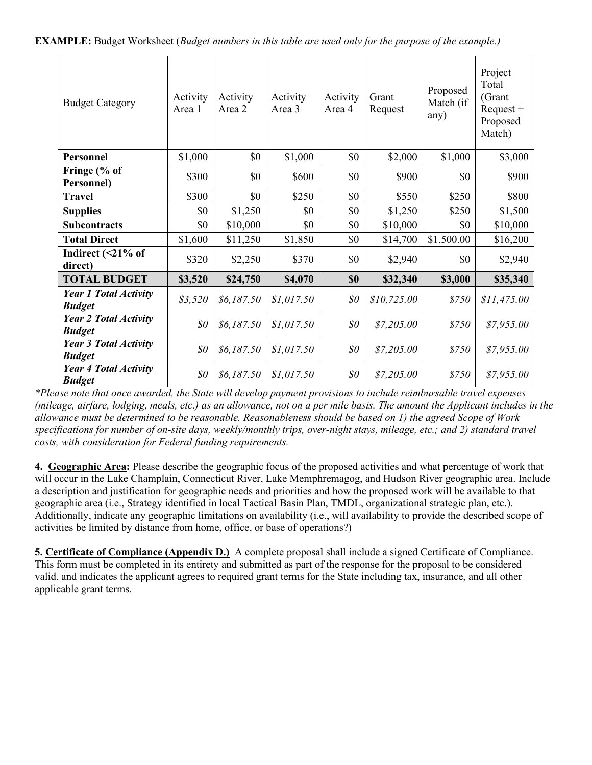| <b>Budget Category</b>                        | Activity<br>Area 1 | Activity<br>Area 2 | Activity<br>Area 3 | Activity<br>Area 4 | Grant<br>Request | Proposed<br>Match (if<br>any) | Project<br>Total<br>(Grant<br>$Request +$<br>Proposed<br>Match) |
|-----------------------------------------------|--------------------|--------------------|--------------------|--------------------|------------------|-------------------------------|-----------------------------------------------------------------|
| <b>Personnel</b>                              | \$1,000            | \$0                | \$1,000            | \$0                | \$2,000          | \$1,000                       | \$3,000                                                         |
| Fringe (% of<br>Personnel)                    | \$300              | \$0                | \$600              | \$0                | \$900            | \$0                           | \$900                                                           |
| <b>Travel</b>                                 | \$300              | \$0                | \$250              | \$0                | \$550            | \$250                         | \$800                                                           |
| <b>Supplies</b>                               | \$0                | \$1,250            | \$0                | \$0                | \$1,250          | \$250                         | \$1,500                                                         |
| <b>Subcontracts</b>                           | \$0                | \$10,000           | \$0                | \$0                | \$10,000         | \$0                           | \$10,000                                                        |
| <b>Total Direct</b>                           | \$1,600            | \$11,250           | \$1,850            | \$0                | \$14,700         | \$1,500.00                    | \$16,200                                                        |
| Indirect $($ <21% of<br>direct)               | \$320              | \$2,250            | \$370              | \$0                | \$2,940          | \$0                           | \$2,940                                                         |
| <b>TOTAL BUDGET</b>                           | \$3,520            | \$24,750           | \$4,070            | \$0                | \$32,340         | \$3,000                       | \$35,340                                                        |
| <b>Year 1 Total Activity</b><br><b>Budget</b> | \$3,520            | \$6,187.50         | \$1,017.50         | \$0\$              | \$10,725.00      | \$750                         | \$11,475.00                                                     |
| <b>Year 2 Total Activity</b><br><b>Budget</b> | \$0\$              | \$6,187.50         | \$1,017.50         | \$0\$              | \$7,205.00       | \$750                         | \$7,955.00                                                      |
| <b>Year 3 Total Activity</b><br><b>Budget</b> | \$0                | \$6,187.50         | \$1,017.50         | $\$0$              | \$7,205.00       | \$750                         | \$7,955.00                                                      |
| <b>Year 4 Total Activity</b><br><b>Budget</b> | \$0\$              | \$6,187.50         | \$1,017.50         | \$0\$              | \$7,205.00       | \$750                         | \$7,955.00                                                      |

*\*Please note that once awarded, the State will develop payment provisions to include reimbursable travel expenses (mileage, airfare, lodging, meals, etc.) as an allowance, not on a per mile basis. The amount the Applicant includes in the allowance must be determined to be reasonable. Reasonableness should be based on 1) the agreed Scope of Work specifications for number of on-site days, weekly/monthly trips, over-night stays, mileage, etc.; and 2) standard travel costs, with consideration for Federal funding requirements.*

**4. Geographic Area:** Please describe the geographic focus of the proposed activities and what percentage of work that will occur in the Lake Champlain, Connecticut River, Lake Memphremagog, and Hudson River geographic area. Include a description and justification for geographic needs and priorities and how the proposed work will be available to that geographic area (i.e., Strategy identified in local Tactical Basin Plan, TMDL, organizational strategic plan, etc.). Additionally, indicate any geographic limitations on availability (i.e., will availability to provide the described scope of activities be limited by distance from home, office, or base of operations?)

**5. Certificate of Compliance (Appendix D.)** A complete proposal shall include a signed Certificate of Compliance. This form must be completed in its entirety and submitted as part of the response for the proposal to be considered valid, and indicates the applicant agrees to required grant terms for the State including tax, insurance, and all other applicable grant terms.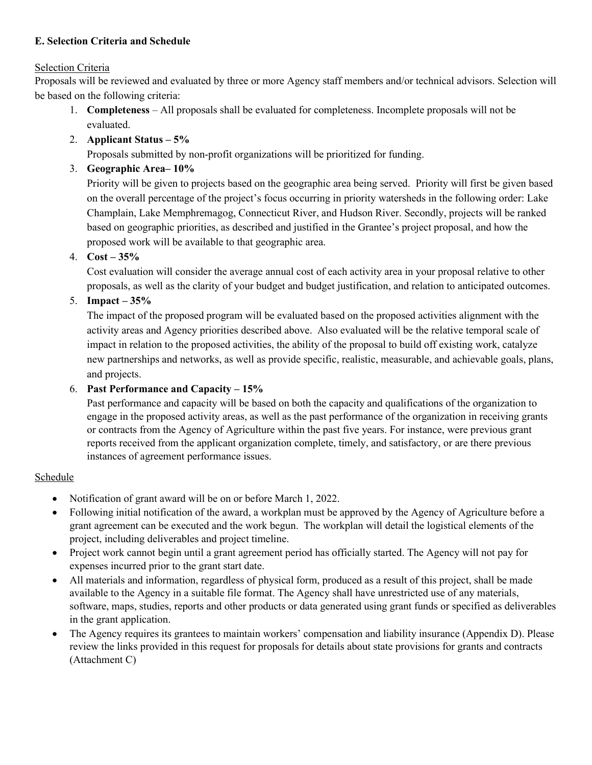## **E. Selection Criteria and Schedule**

## Selection Criteria

Proposals will be reviewed and evaluated by three or more Agency staff members and/or technical advisors. Selection will be based on the following criteria:

- 1. **Completeness** All proposals shall be evaluated for completeness. Incomplete proposals will not be evaluated.
- 2. **Applicant Status – 5%**

Proposals submitted by non-profit organizations will be prioritized for funding.

3. **Geographic Area– 10%**

Priority will be given to projects based on the geographic area being served. Priority will first be given based on the overall percentage of the project's focus occurring in priority watersheds in the following order: Lake Champlain, Lake Memphremagog, Connecticut River, and Hudson River. Secondly, projects will be ranked based on geographic priorities, as described and justified in the Grantee's project proposal, and how the proposed work will be available to that geographic area.

4. **Cost – 35%**

Cost evaluation will consider the average annual cost of each activity area in your proposal relative to other proposals, as well as the clarity of your budget and budget justification, and relation to anticipated outcomes.

5. **Impact – 35%**

The impact of the proposed program will be evaluated based on the proposed activities alignment with the activity areas and Agency priorities described above. Also evaluated will be the relative temporal scale of impact in relation to the proposed activities, the ability of the proposal to build off existing work, catalyze new partnerships and networks, as well as provide specific, realistic, measurable, and achievable goals, plans, and projects.

# 6. **Past Performance and Capacity – 15%**

Past performance and capacity will be based on both the capacity and qualifications of the organization to engage in the proposed activity areas, as well as the past performance of the organization in receiving grants or contracts from the Agency of Agriculture within the past five years. For instance, were previous grant reports received from the applicant organization complete, timely, and satisfactory, or are there previous instances of agreement performance issues.

# Schedule

- Notification of grant award will be on or before March 1, 2022.
- Following initial notification of the award, a workplan must be approved by the Agency of Agriculture before a grant agreement can be executed and the work begun. The workplan will detail the logistical elements of the project, including deliverables and project timeline.
- Project work cannot begin until a grant agreement period has officially started. The Agency will not pay for expenses incurred prior to the grant start date.
- All materials and information, regardless of physical form, produced as a result of this project, shall be made available to the Agency in a suitable file format. The Agency shall have unrestricted use of any materials, software, maps, studies, reports and other products or data generated using grant funds or specified as deliverables in the grant application.
- The Agency requires its grantees to maintain workers' compensation and liability insurance (Appendix D). Please review the links provided in this request for proposals for details about state provisions for grants and contracts (Attachment C)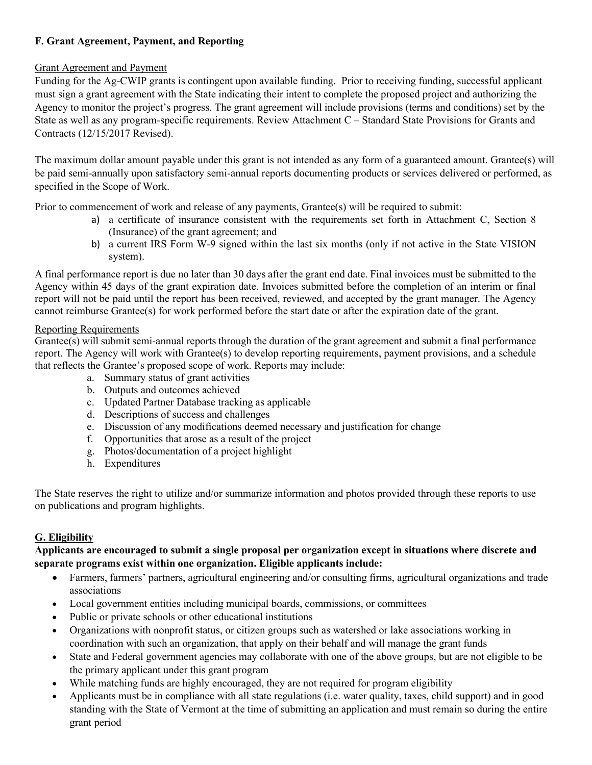# **F. Grant Agreement, Payment, and Reporting**

#### Grant Agreement and Payment

Funding for the Ag-CWIP grants is contingent upon available funding. Prior to receiving funding, successful applicant must sign a grant agreement with the State indicating their intent to complete the proposed project and authorizing the Agency to monitor the project's progress. The grant agreement will include provisions (terms and conditions) set by the State as well as any program-specific requirements. Review Attachment C – Standard State Provisions for Grants and Contracts (12/15/2017 Revised).

The maximum dollar amount payable under this grant is not intended as any form of a guaranteed amount. Grantee(s) will be paid semi-annually upon satisfactory semi-annual reports documenting products or services delivered or performed, as specified in the Scope of Work.

Prior to commencement of work and release of any payments, Grantee(s) will be required to submit:

- a) a certificate of insurance consistent with the requirements set forth in Attachment C, Section 8 (Insurance) of the grant agreement; and
- b) a current IRS Form W-9 signed within the last six months (only if not active in the State VISION system).

A final performance report is due no later than 30 days after the grant end date. Final invoices must be submitted to the Agency within 45 days of the grant expiration date. Invoices submitted before the completion of an interim or final report will not be paid until the report has been received, reviewed, and accepted by the grant manager. The Agency cannot reimburse Grantee(s) for work performed before the start date or after the expiration date of the grant.

#### Reporting Requirements

Grantee(s) will submit semi-annual reports through the duration of the grant agreement and submit a final performance report. The Agency will work with Grantee(s) to develop reporting requirements, payment provisions, and a schedule that reflects the Grantee's proposed scope of work. Reports may include:

- a. Summary status of grant activities
- b. Outputs and outcomes achieved
- c. Updated Partner Database tracking as applicable
- d. Descriptions of success and challenges
- e. Discussion of any modifications deemed necessary and justification for change
- f. Opportunities that arose as a result of the project
- g. Photos/documentation of a project highlight
- h. Expenditures

The State reserves the right to utilize and/or summarize information and photos provided through these reports to use on publications and program highlights.

## **G. Eligibility**

## **Applicants are encouraged to submit a single proposal per organization except in situations where discrete and separate programs exist within one organization. Eligible applicants include:**

- Farmers, farmers' partners, agricultural engineering and/or consulting firms, agricultural organizations and trade associations
- Local government entities including municipal boards, commissions, or committees
- Public or private schools or other educational institutions
- Organizations with nonprofit status, or citizen groups such as watershed or lake associations working in coordination with such an organization, that apply on their behalf and will manage the grant funds
- State and Federal government agencies may collaborate with one of the above groups, but are not eligible to be the primary applicant under this grant program
- While matching funds are highly encouraged, they are not required for program eligibility
- Applicants must be in compliance with all state regulations (i.e. water quality, taxes, child support) and in good standing with the State of Vermont at the time of submitting an application and must remain so during the entire grant period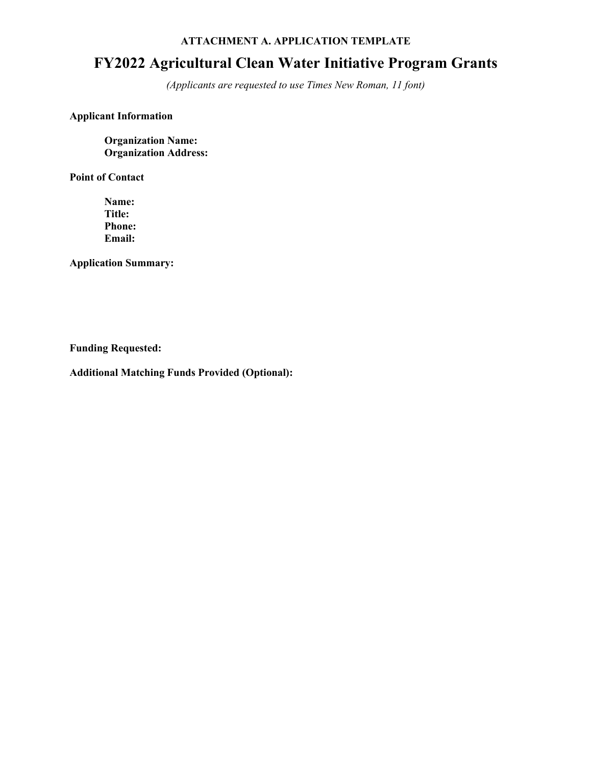#### **ATTACHMENT A. APPLICATION TEMPLATE**

# **FY2022 Agricultural Clean Water Initiative Program Grants**

*(Applicants are requested to use Times New Roman, 11 font)* 

## **Applicant Information**

**Organization Name: Organization Address:** 

**Point of Contact**

**Name: Title: Phone: Email:**

**Application Summary:** 

**Funding Requested:**

**Additional Matching Funds Provided (Optional):**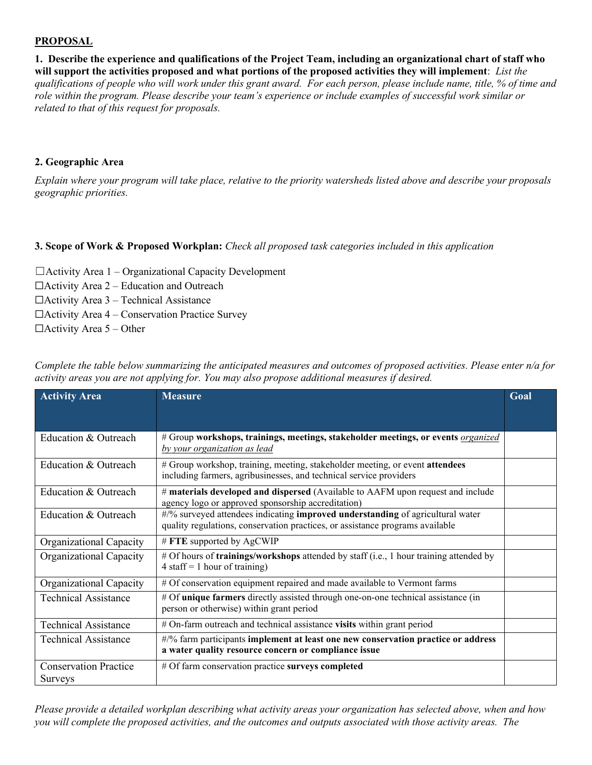#### **PROPOSAL**

**1. Describe the experience and qualifications of the Project Team, including an organizational chart of staff who will support the activities proposed and what portions of the proposed activities they will implement**: *List the qualifications of people who will work under this grant award. For each person, please include name, title, % of time and role within the program. Please describe your team's experience or include examples of successful work similar or related to that of this request for proposals.*

#### **2. Geographic Area**

*Explain where your program will take place, relative to the priority watersheds listed above and describe your proposals geographic priorities.* 

#### **3. Scope of Work & Proposed Workplan:** *Check all proposed task categories included in this application*

- $\Box$ Activity Area 1 Organizational Capacity Development
- $\Box$ Activity Area 2 Education and Outreach
- $\Box$ Activity Area 3 Technical Assistance
- $\Box$ Activity Area 4 Conservation Practice Survey
- $\Box$ Activity Area 5 Other

| <b>Activity Area</b>                           | <b>Measure</b>                                                                                                                                                  | Goal |
|------------------------------------------------|-----------------------------------------------------------------------------------------------------------------------------------------------------------------|------|
|                                                |                                                                                                                                                                 |      |
| Education & Outreach                           | # Group workshops, trainings, meetings, stakeholder meetings, or events <i>organized</i><br>by your organization as lead                                        |      |
| Education & Outreach                           | # Group workshop, training, meeting, stakeholder meeting, or event attendees<br>including farmers, agribusinesses, and technical service providers              |      |
| Education & Outreach                           | # materials developed and dispersed (Available to AAFM upon request and include<br>agency logo or approved sponsorship accreditation)                           |      |
| Education & Outreach                           | #/% surveyed attendees indicating improved understanding of agricultural water<br>quality regulations, conservation practices, or assistance programs available |      |
| Organizational Capacity                        | # FTE supported by AgCWIP                                                                                                                                       |      |
| Organizational Capacity                        | # Of hours of trainings/workshops attended by staff (i.e., 1 hour training attended by<br>$4 \text{ staff} = 1 \text{ hour of training}$                        |      |
| Organizational Capacity                        | # Of conservation equipment repaired and made available to Vermont farms                                                                                        |      |
| <b>Technical Assistance</b>                    | # Of unique farmers directly assisted through one-on-one technical assistance (in<br>person or otherwise) within grant period                                   |      |
| <b>Technical Assistance</b>                    | # On-farm outreach and technical assistance visits within grant period                                                                                          |      |
| <b>Technical Assistance</b>                    | #/% farm participants implement at least one new conservation practice or address<br>a water quality resource concern or compliance issue                       |      |
| <b>Conservation Practice</b><br><b>Surveys</b> | # Of farm conservation practice surveys completed                                                                                                               |      |

*Complete the table below summarizing the anticipated measures and outcomes of proposed activities. Please enter n/a for activity areas you are not applying for. You may also propose additional measures if desired.* 

*Please provide a detailed workplan describing what activity areas your organization has selected above, when and how you will complete the proposed activities, and the outcomes and outputs associated with those activity areas. The*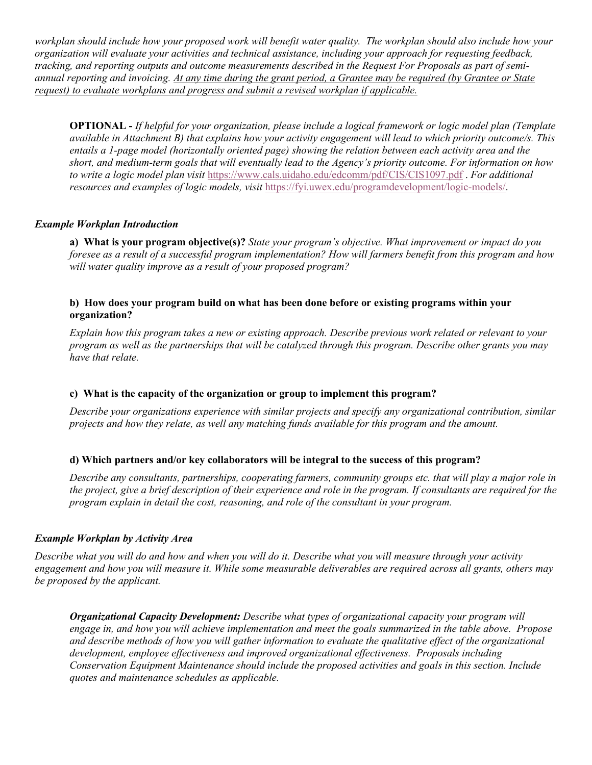*workplan should include how your proposed work will benefit water quality. The workplan should also include how your organization will evaluate your activities and technical assistance, including your approach for requesting feedback, tracking, and reporting outputs and outcome measurements described in the Request For Proposals as part of semiannual reporting and invoicing. At any time during the grant period, a Grantee may be required (by Grantee or State request) to evaluate workplans and progress and submit a revised workplan if applicable.* 

**OPTIONAL -** *If helpful for your organization, please include a logical framework or logic model plan (Template available in Attachment B) that explains how your activity engagement will lead to which priority outcome/s. This entails a 1-page model (horizontally oriented page) showing the relation between each activity area and the short, and medium-term goals that will eventually lead to the Agency's priority outcome. For information on how to write a logic model plan visit* <https://www.cals.uidaho.edu/edcomm/pdf/CIS/CIS1097.pdf> . *For additional resources and examples of logic models, visit* [https://fyi.uwex.edu/programdevelopment/logic-models/.](https://fyi.uwex.edu/programdevelopment/logic-models/)

#### *Example Workplan Introduction*

**a) What is your program objective(s)?** *State your program's objective. What improvement or impact do you foresee as a result of a successful program implementation? How will farmers benefit from this program and how will water quality improve as a result of your proposed program?*

#### **b) How does your program build on what has been done before or existing programs within your organization?**

*Explain how this program takes a new or existing approach. Describe previous work related or relevant to your program as well as the partnerships that will be catalyzed through this program. Describe other grants you may have that relate.* 

## **c) What is the capacity of the organization or group to implement this program?**

*Describe your organizations experience with similar projects and specify any organizational contribution, similar projects and how they relate, as well any matching funds available for this program and the amount.* 

#### **d) Which partners and/or key collaborators will be integral to the success of this program?**

*Describe any consultants, partnerships, cooperating farmers, community groups etc. that will play a major role in the project, give a brief description of their experience and role in the program. If consultants are required for the program explain in detail the cost, reasoning, and role of the consultant in your program.*

#### *Example Workplan by Activity Area*

*Describe what you will do and how and when you will do it. Describe what you will measure through your activity engagement and how you will measure it. While some measurable deliverables are required across all grants, others may be proposed by the applicant.* 

*Organizational Capacity Development: Describe what types of organizational capacity your program will engage in, and how you will achieve implementation and meet the goals summarized in the table above. Propose and describe methods of how you will gather information to evaluate the qualitative effect of the organizational development, employee effectiveness and improved organizational effectiveness. Proposals including Conservation Equipment Maintenance should include the proposed activities and goals in this section. Include quotes and maintenance schedules as applicable.*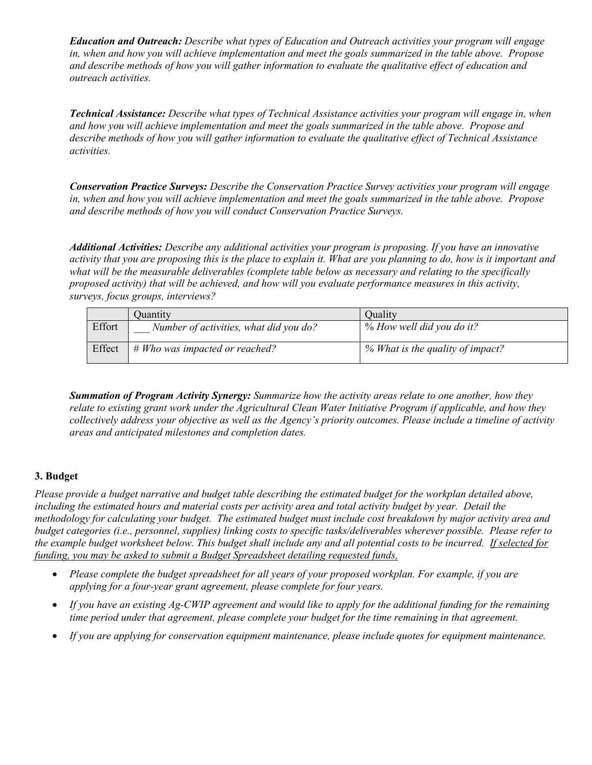*Education and Outreach: Describe what types of Education and Outreach activities your program will engage in, when and how you will achieve implementation and meet the goals summarized in the table above. Propose and describe methods of how you will gather information to evaluate the qualitative effect of education and outreach activities.* 

*Technical Assistance: Describe what types of Technical Assistance activities your program will engage in, when and how you will achieve implementation and meet the goals summarized in the table above. Propose and describe methods of how you will gather information to evaluate the qualitative effect of Technical Assistance activities.*

*Conservation Practice Surveys: Describe the Conservation Practice Survey activities your program will engage in, when and how you will achieve implementation and meet the goals summarized in the table above. Propose and describe methods of how you will conduct Conservation Practice Surveys.* 

*Additional Activities: Describe any additional activities your program is proposing. If you have an innovative activity that you are proposing this is the place to explain it. What are you planning to do, how is it important and what will be the measurable deliverables (complete table below as necessary and relating to the specifically proposed activity) that will be achieved, and how will you evaluate performance measures in this activity, surveys, focus groups, interviews?* 

|        | Quantity                               | Ouality                          |
|--------|----------------------------------------|----------------------------------|
| Effort | Number of activities, what did you do? | % How well did you do it?        |
| Effect | $# Who$ was impacted or reached?       | % What is the quality of impact? |

*Summation of Program Activity Synergy: Summarize how the activity areas relate to one another, how they relate to existing grant work under the Agricultural Clean Water Initiative Program if applicable, and how they collectively address your objective as well as the Agency's priority outcomes. Please include a timeline of activity areas and anticipated milestones and completion dates.* 

## **3. Budget**

*Please provide a budget narrative and budget table describing the estimated budget for the workplan detailed above, including the estimated hours and material costs per activity area and total activity budget by year. Detail the methodology for calculating your budget. The estimated budget must include cost breakdown by major activity area and budget categories (i.e., personnel, supplies) linking costs to specific tasks/deliverables wherever possible. Please refer to the example budget worksheet below. This budget shall include any and all potential costs to be incurred. If selected for funding, you may be asked to submit a Budget Spreadsheet detailing requested funds,* 

- *Please complete the budget spreadsheet for all years of your proposed workplan. For example, if you are applying for a four-year grant agreement, please complete for four years.*
- *If you have an existing Ag-CWIP agreement and would like to apply for the additional funding for the remaining time period under that agreement, please complete your budget for the time remaining in that agreement.*
- *If you are applying for conservation equipment maintenance, please include quotes for equipment maintenance.*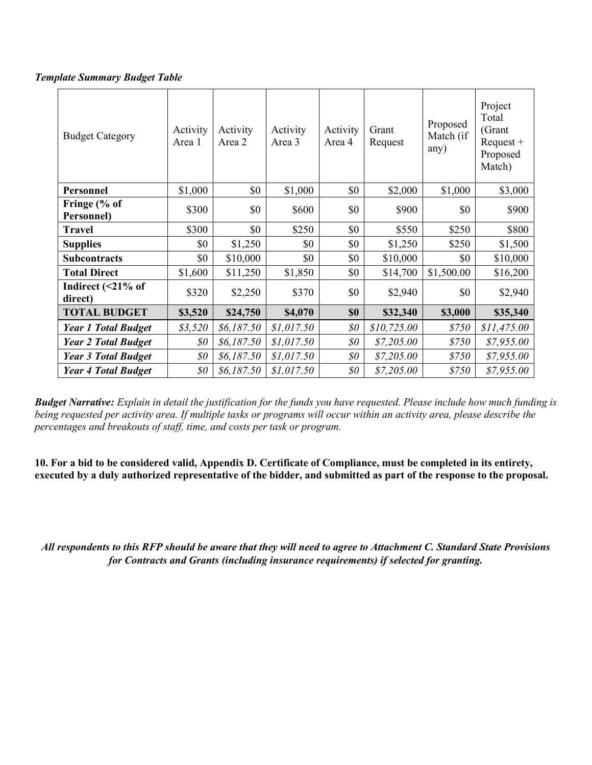*Template Summary Budget Table* 

| <b>Budget Category</b>         | Activity<br>Area 1                                | Activity<br>Area 2 | Activity<br>Area 3 | Activity<br>Area 4          | Grant<br>Request | Proposed<br>Match (if<br>any) | Project<br>Total<br>(Grant<br>$Request +$<br>Proposed<br>Match) |
|--------------------------------|---------------------------------------------------|--------------------|--------------------|-----------------------------|------------------|-------------------------------|-----------------------------------------------------------------|
| <b>Personnel</b>               | \$1,000                                           | \$0                | \$1,000            | \$0                         | \$2,000          | \$1,000                       | \$3,000                                                         |
| Fringe (% of<br>Personnel)     | \$300                                             | \$0                | \$600              | \$0                         | \$900            | \$0                           | \$900                                                           |
| <b>Travel</b>                  | \$300                                             | \$0                | \$250              | \$0                         | \$550            | \$250                         | \$800                                                           |
| <b>Supplies</b>                | \$0                                               | \$1,250            | \$0                | \$0                         | \$1,250          | \$250                         | \$1,500                                                         |
| <b>Subcontracts</b>            | \$0                                               | \$10,000           | \$0                | \$0                         | \$10,000         | \$0                           | \$10,000                                                        |
| <b>Total Direct</b>            | \$1,600                                           | \$11,250           | \$1,850            | \$0                         | \$14,700         | \$1,500.00                    | \$16,200                                                        |
| Indirect $($ 21% of<br>direct) | \$320                                             | \$2,250            | \$370              | \$0                         | \$2,940          | \$0                           | \$2,940                                                         |
| <b>TOTAL BUDGET</b>            | \$3,520                                           | \$24,750           | \$4,070            | \$0                         | \$32,340         | \$3,000                       | \$35,340                                                        |
| <b>Year 1 Total Budget</b>     | \$3,520                                           | \$6,187.50         | \$1,017.50         | $\$0$                       | \$10,725.00      | \$750                         | \$11,475.00                                                     |
| <b>Year 2 Total Budget</b>     | $\boldsymbol{\mathcal{S}}\boldsymbol{\mathit{0}}$ | \$6,187.50         | \$1,017.50         | $\mathcal{S}^{\mathcal{O}}$ | \$7,205.00       | \$750                         | \$7,955.00                                                      |
| <b>Year 3 Total Budget</b>     | \$0\$                                             | \$6,187.50         | \$1,017.50         | \$0                         | \$7,205.00       | \$750                         | \$7,955.00                                                      |
| <b>Year 4 Total Budget</b>     | \$0\$                                             | \$6,187.50         | \$1,017.50         | $\$0$                       | \$7,205.00       | \$750                         | \$7,955.00                                                      |

*Budget Narrative: Explain in detail the justification for the funds you have requested. Please include how much funding is being requested per activity area. If multiple tasks or programs will occur within an activity area, please describe the percentages and breakouts of staff, time, and costs per task or program.* 

**10. For a bid to be considered valid, Appendix D. Certificate of Compliance, must be completed in its entirety, executed by a duly authorized representative of the bidder, and submitted as part of the response to the proposal.**

*All respondents to this RFP should be aware that they will need to agree to Attachment C. Standard State Provisions for Contracts and Grants (including insurance requirements) if selected for granting.*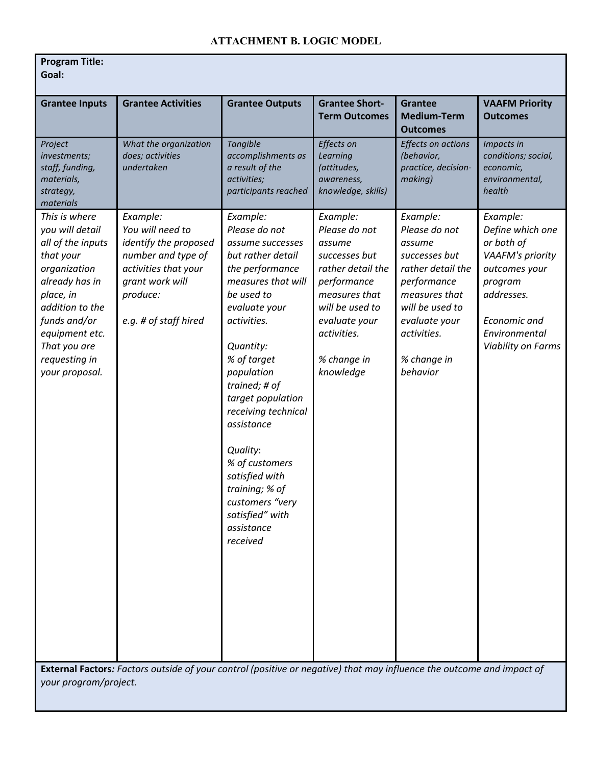# **ATTACHMENT B. LOGIC MODEL**

| <b>Grantee Inputs</b>                                                                                                                                                                                                     | <b>Grantee Activities</b>                                                                                                                                   | <b>Grantee Outputs</b>                                                                                                                                                                                                                                                                                                                                                                                           | <b>Grantee Short-</b><br><b>Term Outcomes</b>                                                                                                                                            | <b>Grantee</b><br><b>Medium-Term</b><br><b>Outcomes</b>                                                                                                                                 | <b>VAAFM Priority</b><br><b>Outcomes</b>                                                                                                                        |
|---------------------------------------------------------------------------------------------------------------------------------------------------------------------------------------------------------------------------|-------------------------------------------------------------------------------------------------------------------------------------------------------------|------------------------------------------------------------------------------------------------------------------------------------------------------------------------------------------------------------------------------------------------------------------------------------------------------------------------------------------------------------------------------------------------------------------|------------------------------------------------------------------------------------------------------------------------------------------------------------------------------------------|-----------------------------------------------------------------------------------------------------------------------------------------------------------------------------------------|-----------------------------------------------------------------------------------------------------------------------------------------------------------------|
| Project<br>investments;<br>staff, funding,<br>materials,<br>strategy,<br>materials                                                                                                                                        | What the organization<br>does; activities<br>undertaken                                                                                                     | Tangible<br>accomplishments as<br>a result of the<br>activities;<br>participants reached                                                                                                                                                                                                                                                                                                                         | Effects on<br>Learning<br>(attitudes,<br>awareness,<br>knowledge, skills)                                                                                                                | Effects on actions<br>(behavior,<br>practice, decision-<br>making)                                                                                                                      | Impacts in<br>conditions; social,<br>economic,<br>environmental,<br>health                                                                                      |
| This is where<br>you will detail<br>all of the inputs<br>that your<br>organization<br>already has in<br>place, in<br>addition to the<br>funds and/or<br>equipment etc.<br>That you are<br>requesting in<br>your proposal. | Example:<br>You will need to<br>identify the proposed<br>number and type of<br>activities that your<br>grant work will<br>produce:<br>e.g. # of staff hired | Example:<br>Please do not<br>assume successes<br>but rather detail<br>the performance<br>measures that will<br>be used to<br>evaluate your<br>activities.<br>Quantity:<br>% of target<br>population<br>trained; # of<br>target population<br>receiving technical<br>assistance<br>Quality:<br>% of customers<br>satisfied with<br>training; % of<br>customers "very<br>satisfied" with<br>assistance<br>received | Example:<br>Please do not<br>assume<br>successes but<br>rather detail the<br>performance<br>measures that<br>will be used to<br>evaluate your<br>activities.<br>% change in<br>knowledge | Example:<br>Please do not<br>assume<br>successes but<br>rather detail the<br>performance<br>measures that<br>will be used to<br>evaluate your<br>activities.<br>% change in<br>behavior | Example:<br>Define which one<br>or both of<br>VAAFM's priority<br>outcomes your<br>program<br>addresses.<br>Economic and<br>Environmental<br>Viability on Farms |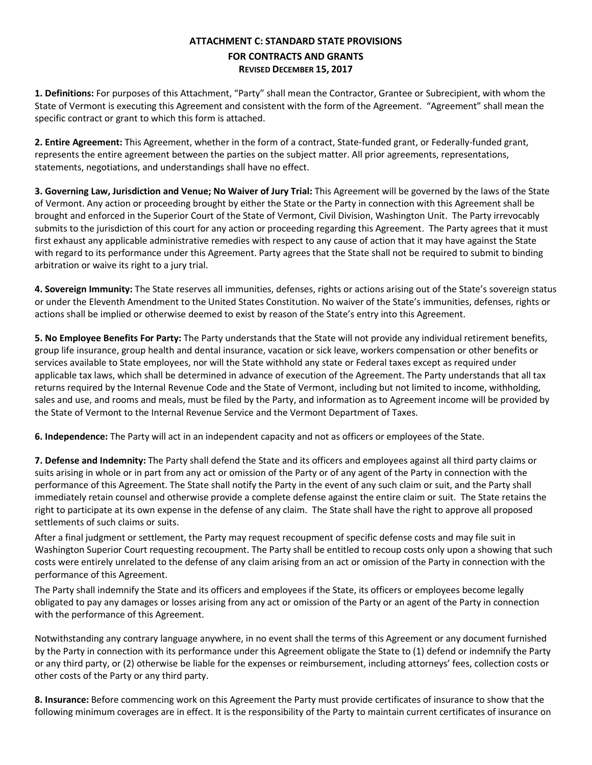## **ATTACHMENT C: STANDARD STATE PROVISIONS FOR CONTRACTS AND GRANTS REVISED DECEMBER 15, 2017**

**1. Definitions:** For purposes of this Attachment, "Party" shall mean the Contractor, Grantee or Subrecipient, with whom the State of Vermont is executing this Agreement and consistent with the form of the Agreement. "Agreement" shall mean the specific contract or grant to which this form is attached.

**2. Entire Agreement:** This Agreement, whether in the form of a contract, State-funded grant, or Federally-funded grant, represents the entire agreement between the parties on the subject matter. All prior agreements, representations, statements, negotiations, and understandings shall have no effect.

**3. Governing Law, Jurisdiction and Venue; No Waiver of Jury Trial:** This Agreement will be governed by the laws of the State of Vermont. Any action or proceeding brought by either the State or the Party in connection with this Agreement shall be brought and enforced in the Superior Court of the State of Vermont, Civil Division, Washington Unit. The Party irrevocably submits to the jurisdiction of this court for any action or proceeding regarding this Agreement. The Party agrees that it must first exhaust any applicable administrative remedies with respect to any cause of action that it may have against the State with regard to its performance under this Agreement. Party agrees that the State shall not be required to submit to binding arbitration or waive its right to a jury trial.

**4. Sovereign Immunity:** The State reserves all immunities, defenses, rights or actions arising out of the State's sovereign status or under the Eleventh Amendment to the United States Constitution. No waiver of the State's immunities, defenses, rights or actions shall be implied or otherwise deemed to exist by reason of the State's entry into this Agreement.

**5. No Employee Benefits For Party:** The Party understands that the State will not provide any individual retirement benefits, group life insurance, group health and dental insurance, vacation or sick leave, workers compensation or other benefits or services available to State employees, nor will the State withhold any state or Federal taxes except as required under applicable tax laws, which shall be determined in advance of execution of the Agreement. The Party understands that all tax returns required by the Internal Revenue Code and the State of Vermont, including but not limited to income, withholding, sales and use, and rooms and meals, must be filed by the Party, and information as to Agreement income will be provided by the State of Vermont to the Internal Revenue Service and the Vermont Department of Taxes.

**6. Independence:** The Party will act in an independent capacity and not as officers or employees of the State.

**7. Defense and Indemnity:** The Party shall defend the State and its officers and employees against all third party claims or suits arising in whole or in part from any act or omission of the Party or of any agent of the Party in connection with the performance of this Agreement. The State shall notify the Party in the event of any such claim or suit, and the Party shall immediately retain counsel and otherwise provide a complete defense against the entire claim or suit. The State retains the right to participate at its own expense in the defense of any claim. The State shall have the right to approve all proposed settlements of such claims or suits.

After a final judgment or settlement, the Party may request recoupment of specific defense costs and may file suit in Washington Superior Court requesting recoupment. The Party shall be entitled to recoup costs only upon a showing that such costs were entirely unrelated to the defense of any claim arising from an act or omission of the Party in connection with the performance of this Agreement.

The Party shall indemnify the State and its officers and employees if the State, its officers or employees become legally obligated to pay any damages or losses arising from any act or omission of the Party or an agent of the Party in connection with the performance of this Agreement.

Notwithstanding any contrary language anywhere, in no event shall the terms of this Agreement or any document furnished by the Party in connection with its performance under this Agreement obligate the State to (1) defend or indemnify the Party or any third party, or (2) otherwise be liable for the expenses or reimbursement, including attorneys' fees, collection costs or other costs of the Party or any third party.

**8. Insurance:** Before commencing work on this Agreement the Party must provide certificates of insurance to show that the following minimum coverages are in effect. It is the responsibility of the Party to maintain current certificates of insurance on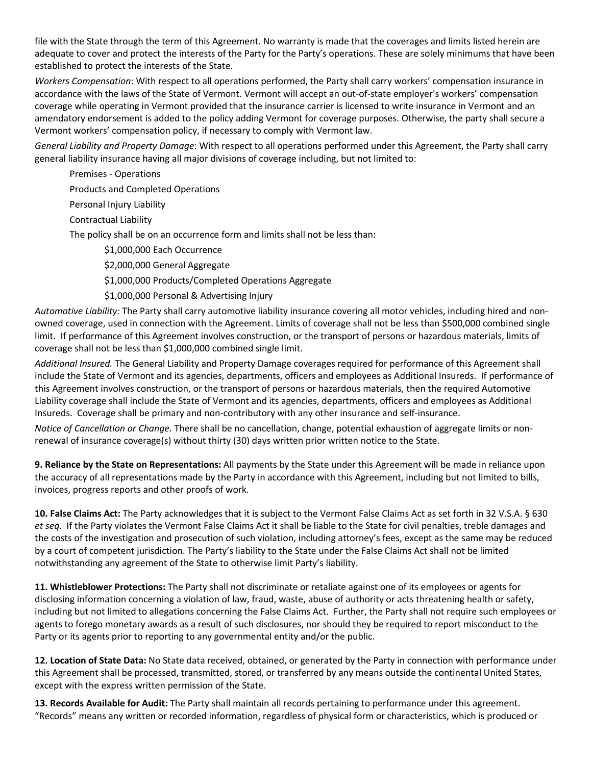file with the State through the term of this Agreement. No warranty is made that the coverages and limits listed herein are adequate to cover and protect the interests of the Party for the Party's operations. These are solely minimums that have been established to protect the interests of the State.

*Workers Compensation*: With respect to all operations performed, the Party shall carry workers' compensation insurance in accordance with the laws of the State of Vermont. Vermont will accept an out-of-state employer's workers' compensation coverage while operating in Vermont provided that the insurance carrier is licensed to write insurance in Vermont and an amendatory endorsement is added to the policy adding Vermont for coverage purposes. Otherwise, the party shall secure a Vermont workers' compensation policy, if necessary to comply with Vermont law.

*General Liability and Property Damage*: With respect to all operations performed under this Agreement, the Party shall carry general liability insurance having all major divisions of coverage including, but not limited to:

Premises - Operations

Products and Completed Operations

Personal Injury Liability

Contractual Liability

The policy shall be on an occurrence form and limits shall not be less than:

\$1,000,000 Each Occurrence

\$2,000,000 General Aggregate

\$1,000,000 Products/Completed Operations Aggregate

\$1,000,000 Personal & Advertising Injury

*Automotive Liability:* The Party shall carry automotive liability insurance covering all motor vehicles, including hired and nonowned coverage, used in connection with the Agreement. Limits of coverage shall not be less than \$500,000 combined single limit. If performance of this Agreement involves construction, or the transport of persons or hazardous materials, limits of coverage shall not be less than \$1,000,000 combined single limit.

*Additional Insured.* The General Liability and Property Damage coverages required for performance of this Agreement shall include the State of Vermont and its agencies, departments, officers and employees as Additional Insureds. If performance of this Agreement involves construction, or the transport of persons or hazardous materials, then the required Automotive Liability coverage shall include the State of Vermont and its agencies, departments, officers and employees as Additional Insureds. Coverage shall be primary and non-contributory with any other insurance and self-insurance.

*Notice of Cancellation or Change.* There shall be no cancellation, change, potential exhaustion of aggregate limits or nonrenewal of insurance coverage(s) without thirty (30) days written prior written notice to the State.

**9. Reliance by the State on Representations:** All payments by the State under this Agreement will be made in reliance upon the accuracy of all representations made by the Party in accordance with this Agreement, including but not limited to bills, invoices, progress reports and other proofs of work.

**10. False Claims Act:** The Party acknowledges that it is subject to the Vermont False Claims Act as set forth in 32 V.S.A. § 630 *et seq.* If the Party violates the Vermont False Claims Act it shall be liable to the State for civil penalties, treble damages and the costs of the investigation and prosecution of such violation, including attorney's fees, except as the same may be reduced by a court of competent jurisdiction. The Party's liability to the State under the False Claims Act shall not be limited notwithstanding any agreement of the State to otherwise limit Party's liability.

**11. Whistleblower Protections:** The Party shall not discriminate or retaliate against one of its employees or agents for disclosing information concerning a violation of law, fraud, waste, abuse of authority or acts threatening health or safety, including but not limited to allegations concerning the False Claims Act. Further, the Party shall not require such employees or agents to forego monetary awards as a result of such disclosures, nor should they be required to report misconduct to the Party or its agents prior to reporting to any governmental entity and/or the public.

**12. Location of State Data:** No State data received, obtained, or generated by the Party in connection with performance under this Agreement shall be processed, transmitted, stored, or transferred by any means outside the continental United States, except with the express written permission of the State.

**13. Records Available for Audit:** The Party shall maintain all records pertaining to performance under this agreement. "Records" means any written or recorded information, regardless of physical form or characteristics, which is produced or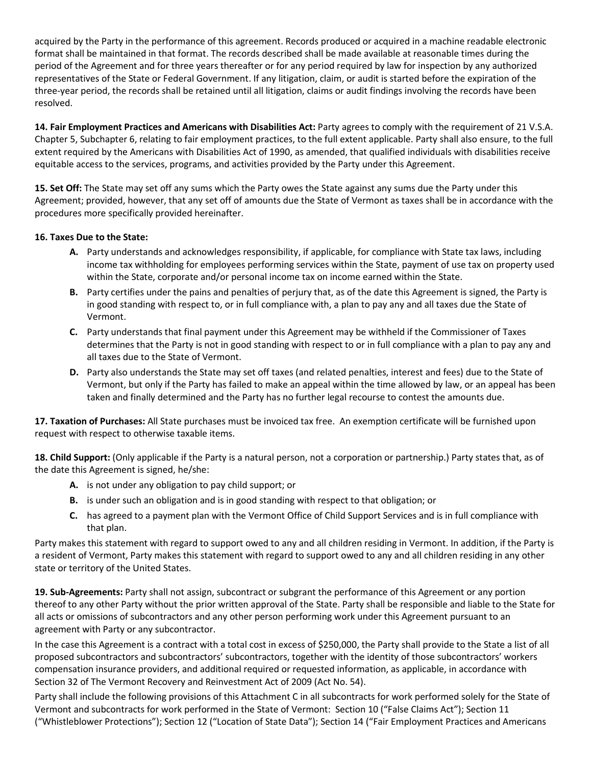acquired by the Party in the performance of this agreement. Records produced or acquired in a machine readable electronic format shall be maintained in that format. The records described shall be made available at reasonable times during the period of the Agreement and for three years thereafter or for any period required by law for inspection by any authorized representatives of the State or Federal Government. If any litigation, claim, or audit is started before the expiration of the three-year period, the records shall be retained until all litigation, claims or audit findings involving the records have been resolved.

**14. Fair Employment Practices and Americans with Disabilities Act:** Party agrees to comply with the requirement of 21 V.S.A. Chapter 5, Subchapter 6, relating to fair employment practices, to the full extent applicable. Party shall also ensure, to the full extent required by the Americans with Disabilities Act of 1990, as amended, that qualified individuals with disabilities receive equitable access to the services, programs, and activities provided by the Party under this Agreement.

**15. Set Off:** The State may set off any sums which the Party owes the State against any sums due the Party under this Agreement; provided, however, that any set off of amounts due the State of Vermont as taxes shall be in accordance with the procedures more specifically provided hereinafter.

#### **16. Taxes Due to the State:**

- **A.** Party understands and acknowledges responsibility, if applicable, for compliance with State tax laws, including income tax withholding for employees performing services within the State, payment of use tax on property used within the State, corporate and/or personal income tax on income earned within the State.
- **B.** Party certifies under the pains and penalties of perjury that, as of the date this Agreement is signed, the Party is in good standing with respect to, or in full compliance with, a plan to pay any and all taxes due the State of Vermont.
- **C.** Party understands that final payment under this Agreement may be withheld if the Commissioner of Taxes determines that the Party is not in good standing with respect to or in full compliance with a plan to pay any and all taxes due to the State of Vermont.
- **D.** Party also understands the State may set off taxes (and related penalties, interest and fees) due to the State of Vermont, but only if the Party has failed to make an appeal within the time allowed by law, or an appeal has been taken and finally determined and the Party has no further legal recourse to contest the amounts due.

**17. Taxation of Purchases:** All State purchases must be invoiced tax free. An exemption certificate will be furnished upon request with respect to otherwise taxable items.

**18. Child Support:** (Only applicable if the Party is a natural person, not a corporation or partnership.) Party states that, as of the date this Agreement is signed, he/she:

- **A.** is not under any obligation to pay child support; or
- **B.** is under such an obligation and is in good standing with respect to that obligation; or
- **C.** has agreed to a payment plan with the Vermont Office of Child Support Services and is in full compliance with that plan.

Party makes this statement with regard to support owed to any and all children residing in Vermont. In addition, if the Party is a resident of Vermont, Party makes this statement with regard to support owed to any and all children residing in any other state or territory of the United States.

**19. Sub-Agreements:** Party shall not assign, subcontract or subgrant the performance of this Agreement or any portion thereof to any other Party without the prior written approval of the State. Party shall be responsible and liable to the State for all acts or omissions of subcontractors and any other person performing work under this Agreement pursuant to an agreement with Party or any subcontractor.

In the case this Agreement is a contract with a total cost in excess of \$250,000, the Party shall provide to the State a list of all proposed subcontractors and subcontractors' subcontractors, together with the identity of those subcontractors' workers compensation insurance providers, and additional required or requested information, as applicable, in accordance with Section 32 of The Vermont Recovery and Reinvestment Act of 2009 (Act No. 54).

Party shall include the following provisions of this Attachment C in all subcontracts for work performed solely for the State of Vermont and subcontracts for work performed in the State of Vermont: Section 10 ("False Claims Act"); Section 11 ("Whistleblower Protections"); Section 12 ("Location of State Data"); Section 14 ("Fair Employment Practices and Americans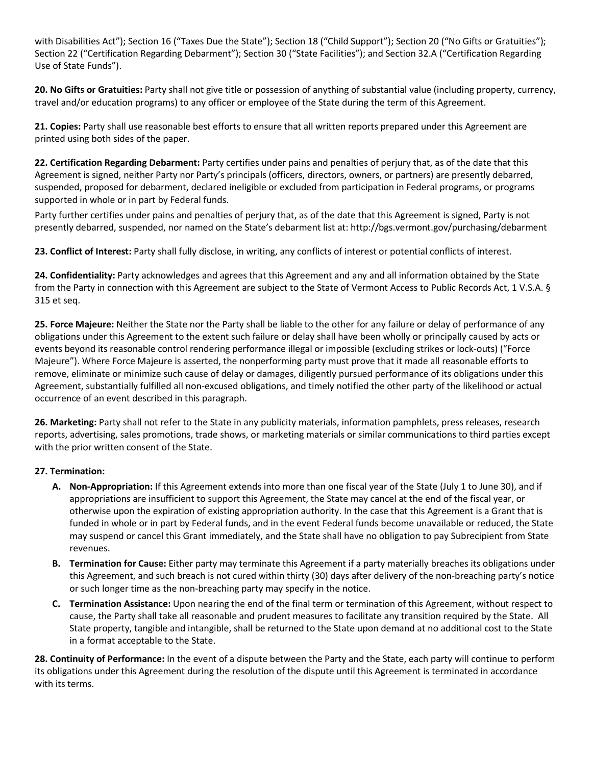with Disabilities Act"); Section 16 ("Taxes Due the State"); Section 18 ("Child Support"); Section 20 ("No Gifts or Gratuities"); Section 22 ("Certification Regarding Debarment"); Section 30 ("State Facilities"); and Section 32.A ("Certification Regarding Use of State Funds").

**20. No Gifts or Gratuities:** Party shall not give title or possession of anything of substantial value (including property, currency, travel and/or education programs) to any officer or employee of the State during the term of this Agreement.

**21. Copies:** Party shall use reasonable best efforts to ensure that all written reports prepared under this Agreement are printed using both sides of the paper.

**22. Certification Regarding Debarment:** Party certifies under pains and penalties of perjury that, as of the date that this Agreement is signed, neither Party nor Party's principals (officers, directors, owners, or partners) are presently debarred, suspended, proposed for debarment, declared ineligible or excluded from participation in Federal programs, or programs supported in whole or in part by Federal funds.

Party further certifies under pains and penalties of perjury that, as of the date that this Agreement is signed, Party is not presently debarred, suspended, nor named on the State's debarment list at: http://bgs.vermont.gov/purchasing/debarment

**23. Conflict of Interest:** Party shall fully disclose, in writing, any conflicts of interest or potential conflicts of interest.

**24. Confidentiality:** Party acknowledges and agrees that this Agreement and any and all information obtained by the State from the Party in connection with this Agreement are subject to the State of Vermont Access to Public Records Act, 1 V.S.A. § 315 et seq.

**25. Force Majeure:** Neither the State nor the Party shall be liable to the other for any failure or delay of performance of any obligations under this Agreement to the extent such failure or delay shall have been wholly or principally caused by acts or events beyond its reasonable control rendering performance illegal or impossible (excluding strikes or lock-outs) ("Force Majeure"). Where Force Majeure is asserted, the nonperforming party must prove that it made all reasonable efforts to remove, eliminate or minimize such cause of delay or damages, diligently pursued performance of its obligations under this Agreement, substantially fulfilled all non-excused obligations, and timely notified the other party of the likelihood or actual occurrence of an event described in this paragraph.

**26. Marketing:** Party shall not refer to the State in any publicity materials, information pamphlets, press releases, research reports, advertising, sales promotions, trade shows, or marketing materials or similar communications to third parties except with the prior written consent of the State.

## **27. Termination:**

- **A. Non-Appropriation:** If this Agreement extends into more than one fiscal year of the State (July 1 to June 30), and if appropriations are insufficient to support this Agreement, the State may cancel at the end of the fiscal year, or otherwise upon the expiration of existing appropriation authority. In the case that this Agreement is a Grant that is funded in whole or in part by Federal funds, and in the event Federal funds become unavailable or reduced, the State may suspend or cancel this Grant immediately, and the State shall have no obligation to pay Subrecipient from State revenues.
- **B. Termination for Cause:** Either party may terminate this Agreement if a party materially breaches its obligations under this Agreement, and such breach is not cured within thirty (30) days after delivery of the non-breaching party's notice or such longer time as the non-breaching party may specify in the notice.
- **C. Termination Assistance:** Upon nearing the end of the final term or termination of this Agreement, without respect to cause, the Party shall take all reasonable and prudent measures to facilitate any transition required by the State. All State property, tangible and intangible, shall be returned to the State upon demand at no additional cost to the State in a format acceptable to the State.

**28. Continuity of Performance:** In the event of a dispute between the Party and the State, each party will continue to perform its obligations under this Agreement during the resolution of the dispute until this Agreement is terminated in accordance with its terms.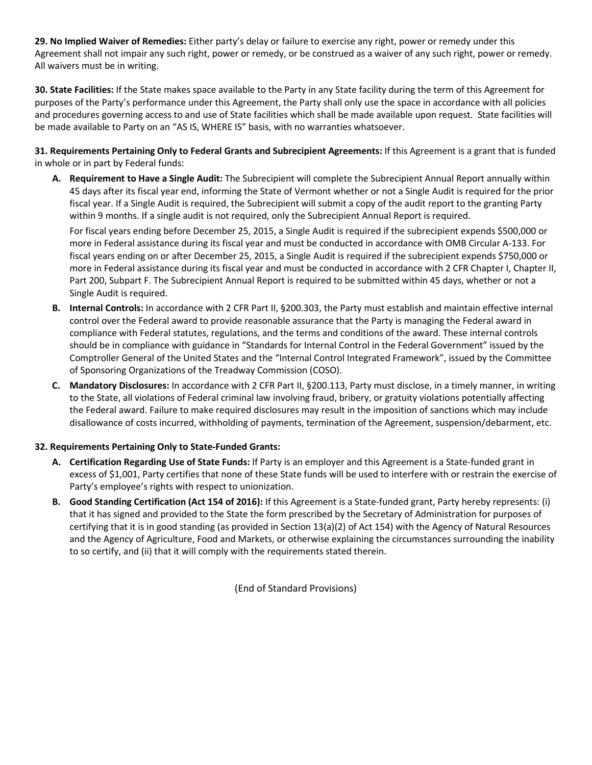**29. No Implied Waiver of Remedies:** Either party's delay or failure to exercise any right, power or remedy under this Agreement shall not impair any such right, power or remedy, or be construed as a waiver of any such right, power or remedy. All waivers must be in writing.

**30. State Facilities:** If the State makes space available to the Party in any State facility during the term of this Agreement for purposes of the Party's performance under this Agreement, the Party shall only use the space in accordance with all policies and procedures governing access to and use of State facilities which shall be made available upon request. State facilities will be made available to Party on an "AS IS, WHERE IS" basis, with no warranties whatsoever.

**31. Requirements Pertaining Only to Federal Grants and Subrecipient Agreements:** If this Agreement is a grant that is funded in whole or in part by Federal funds:

**A. Requirement to Have a Single Audit:** The Subrecipient will complete the Subrecipient Annual Report annually within 45 days after its fiscal year end, informing the State of Vermont whether or not a Single Audit is required for the prior fiscal year. If a Single Audit is required, the Subrecipient will submit a copy of the audit report to the granting Party within 9 months. If a single audit is not required, only the Subrecipient Annual Report is required.

For fiscal years ending before December 25, 2015, a Single Audit is required if the subrecipient expends \$500,000 or more in Federal assistance during its fiscal year and must be conducted in accordance with OMB Circular A-133. For fiscal years ending on or after December 25, 2015, a Single Audit is required if the subrecipient expends \$750,000 or more in Federal assistance during its fiscal year and must be conducted in accordance with 2 CFR Chapter I, Chapter II, Part 200, Subpart F. The Subrecipient Annual Report is required to be submitted within 45 days, whether or not a Single Audit is required.

- **B. Internal Controls:** In accordance with 2 CFR Part II, §200.303, the Party must establish and maintain effective internal control over the Federal award to provide reasonable assurance that the Party is managing the Federal award in compliance with Federal statutes, regulations, and the terms and conditions of the award. These internal controls should be in compliance with guidance in "Standards for Internal Control in the Federal Government" issued by the Comptroller General of the United States and the "Internal Control Integrated Framework", issued by the Committee of Sponsoring Organizations of the Treadway Commission (COSO).
- **C. Mandatory Disclosures:** In accordance with 2 CFR Part II, §200.113, Party must disclose, in a timely manner, in writing to the State, all violations of Federal criminal law involving fraud, bribery, or gratuity violations potentially affecting the Federal award. Failure to make required disclosures may result in the imposition of sanctions which may include disallowance of costs incurred, withholding of payments, termination of the Agreement, suspension/debarment, etc.

#### **32. Requirements Pertaining Only to State-Funded Grants:**

- **A. Certification Regarding Use of State Funds:** If Party is an employer and this Agreement is a State-funded grant in excess of \$1,001, Party certifies that none of these State funds will be used to interfere with or restrain the exercise of Party's employee's rights with respect to unionization.
- **B. Good Standing Certification (Act 154 of 2016):** If this Agreement is a State-funded grant, Party hereby represents: (i) that it has signed and provided to the State the form prescribed by the Secretary of Administration for purposes of certifying that it is in good standing (as provided in Section 13(a)(2) of Act 154) with the Agency of Natural Resources and the Agency of Agriculture, Food and Markets, or otherwise explaining the circumstances surrounding the inability to so certify, and (ii) that it will comply with the requirements stated therein.

(End of Standard Provisions)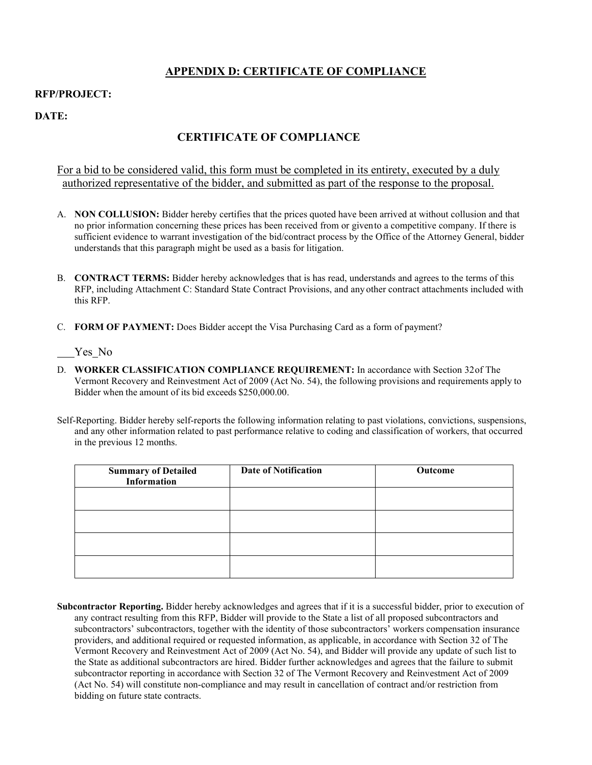# **APPENDIX D: CERTIFICATE OF COMPLIANCE**

#### **RFP/PROJECT:**

**DATE:**

# **CERTIFICATE OF COMPLIANCE**

For a bid to be considered valid, this form must be completed in its entirety, executed by a duly authorized representative of the bidder, and submitted as part of the response to the proposal.

- A. **NON COLLUSION:** Bidder hereby certifies that the prices quoted have been arrived at without collusion and that no prior information concerning these prices has been received from or givento a competitive company. If there is sufficient evidence to warrant investigation of the bid/contract process by the Office of the Attorney General, bidder understands that this paragraph might be used as a basis for litigation.
- B. **CONTRACT TERMS:** Bidder hereby acknowledges that is has read, understands and agrees to the terms of this RFP, including Attachment C: Standard State Contract Provisions, and any other contract attachments included with this RFP.
- C. **FORM OF PAYMENT:** Does Bidder accept the Visa Purchasing Card as a form of payment?

Yes No

- D. **WORKER CLASSIFICATION COMPLIANCE REQUIREMENT:** In accordance with Section 32of The Vermont Recovery and Reinvestment Act of 2009 (Act No. 54), the following provisions and requirements apply to Bidder when the amount of its bid exceeds \$250,000.00.
- Self-Reporting. Bidder hereby self-reports the following information relating to past violations, convictions, suspensions, and any other information related to past performance relative to coding and classification of workers, that occurred in the previous 12 months.

| <b>Summary of Detailed</b><br>Information | <b>Date of Notification</b> | Outcome |
|-------------------------------------------|-----------------------------|---------|
|                                           |                             |         |
|                                           |                             |         |
|                                           |                             |         |
|                                           |                             |         |

**Subcontractor Reporting.** Bidder hereby acknowledges and agrees that if it is a successful bidder, prior to execution of any contract resulting from this RFP, Bidder will provide to the State a list of all proposed subcontractors and subcontractors' subcontractors, together with the identity of those subcontractors' workers compensation insurance providers, and additional required or requested information, as applicable, in accordance with Section 32 of The Vermont Recovery and Reinvestment Act of 2009 (Act No. 54), and Bidder will provide any update of such list to the State as additional subcontractors are hired. Bidder further acknowledges and agrees that the failure to submit subcontractor reporting in accordance with Section 32 of The Vermont Recovery and Reinvestment Act of 2009 (Act No. 54) will constitute non-compliance and may result in cancellation of contract and/or restriction from bidding on future state contracts.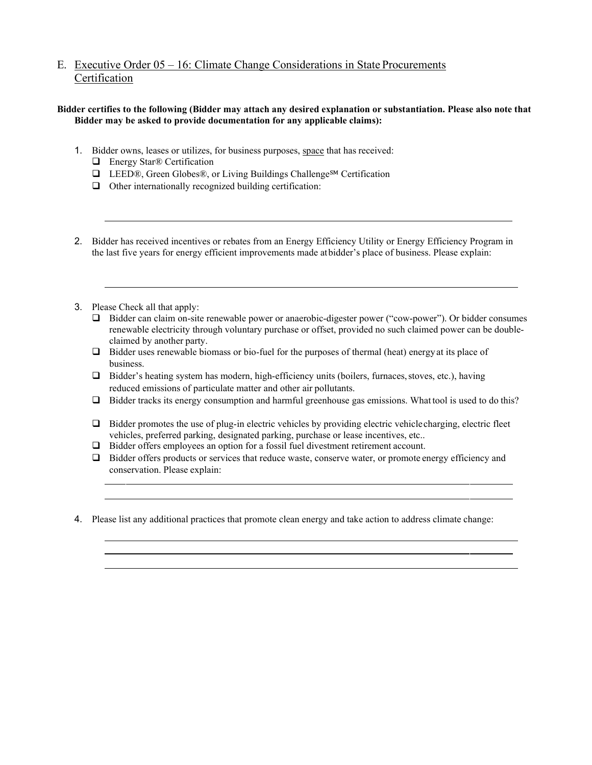# E. Executive Order 05 – 16: Climate Change Considerations in State Procurements **Certification**

#### **Bidder certifies to the following (Bidder may attach any desired explanation or substantiation. Please also note that Bidder may be asked to provide documentation for any applicable claims):**

- 1. Bidder owns, leases or utilizes, for business purposes, space that has received:
	- □ Energy Star<sup>®</sup> Certification
	- LEED®, Green Globes®, or Living Buildings Challenge℠ Certification
	- $\Box$  Other internationally recognized building certification:
- 2. Bidder has received incentives or rebates from an Energy Efficiency Utility or Energy Efficiency Program in the last five years for energy efficient improvements made atbidder's place of business. Please explain:
- 3. Please Check all that apply:
	- Bidder can claim on-site renewable power or anaerobic-digester power ("cow-power"). Or bidder consumes renewable electricity through voluntary purchase or offset, provided no such claimed power can be doubleclaimed by another party.
	- $\Box$  Bidder uses renewable biomass or bio-fuel for the purposes of thermal (heat) energy at its place of business.
	- Bidder's heating system has modern, high-efficiency units (boilers, furnaces,stoves, etc.), having reduced emissions of particulate matter and other air pollutants.
	- $\Box$  Bidder tracks its energy consumption and harmful greenhouse gas emissions. What tool is used to do this?
	- $\Box$  Bidder promotes the use of plug-in electric vehicles by providing electric vehicle charging, electric fleet vehicles, preferred parking, designated parking, purchase or lease incentives, etc..
	- Bidder offers employees an option for a fossil fuel divestment retirement account.
	- □ Bidder offers products or services that reduce waste, conserve water, or promote energy efficiency and conservation. Please explain:
- 4. Please list any additional practices that promote clean energy and take action to address climate change: